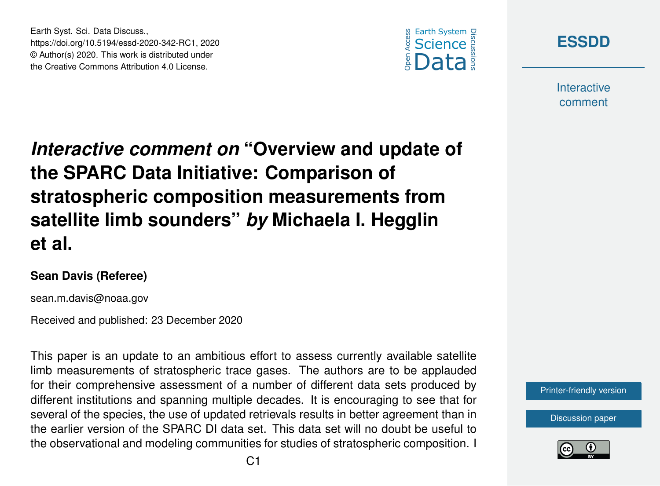



**Interactive** comment

*Interactive comment on* **"Overview and update of the SPARC Data Initiative: Comparison of stratospheric composition measurements from satellite limb sounders"** *by* **Michaela I. Hegglin et al.**

## **Sean Davis (Referee)**

Earth Syst. Sci. Data Discuss.,

https://doi.org/10.5194/essd-2020-342-RC1, 2020 © Author(s) 2020. This work is distributed under the Creative Commons Attribution 4.0 License.

sean.m.davis@noaa.gov

Received and published: 23 December 2020

This paper is an update to an ambitious effort to assess currently available satellite limb measurements of stratospheric trace gases. The authors are to be applauded for their comprehensive assessment of a number of different data sets produced by different institutions and spanning multiple decades. It is encouraging to see that for several of the species, the use of updated retrievals results in better agreement than in the earlier version of the SPARC DI data set. This data set will no doubt be useful to the observational and modeling communities for studies of stratospheric composition. I

[Printer-friendly version](https://essd.copernicus.org/preprints/essd-2020-342/essd-2020-342-RC1-print.pdf)

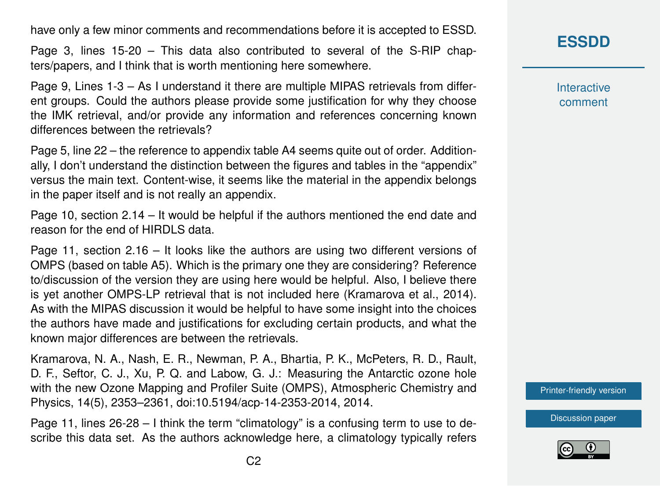have only a few minor comments and recommendations before it is accepted to ESSD.

Page 3, lines 15-20 – This data also contributed to several of the S-RIP chapters/papers, and I think that is worth mentioning here somewhere.

Page 9, Lines 1-3 – As I understand it there are multiple MIPAS retrievals from different groups. Could the authors please provide some justification for why they choose the IMK retrieval, and/or provide any information and references concerning known differences between the retrievals?

Page 5, line 22 – the reference to appendix table A4 seems quite out of order. Additionally, I don't understand the distinction between the figures and tables in the "appendix" versus the main text. Content-wise, it seems like the material in the appendix belongs in the paper itself and is not really an appendix.

Page 10, section 2.14 – It would be helpful if the authors mentioned the end date and reason for the end of HIRDLS data.

Page 11, section 2.16 – It looks like the authors are using two different versions of OMPS (based on table A5). Which is the primary one they are considering? Reference to/discussion of the version they are using here would be helpful. Also, I believe there is yet another OMPS-LP retrieval that is not included here (Kramarova et al., 2014). As with the MIPAS discussion it would be helpful to have some insight into the choices the authors have made and justifications for excluding certain products, and what the known major differences are between the retrievals.

Kramarova, N. A., Nash, E. R., Newman, P. A., Bhartia, P. K., McPeters, R. D., Rault, D. F., Seftor, C. J., Xu, P. Q. and Labow, G. J.: Measuring the Antarctic ozone hole with the new Ozone Mapping and Profiler Suite (OMPS), Atmospheric Chemistry and Physics, 14(5), 2353–2361, doi:10.5194/acp-14-2353-2014, 2014.

Page 11, lines 26-28 – I think the term "climatology" is a confusing term to use to describe this data set. As the authors acknowledge here, a climatology typically refers **Interactive** comment

[Printer-friendly version](https://essd.copernicus.org/preprints/essd-2020-342/essd-2020-342-RC1-print.pdf)

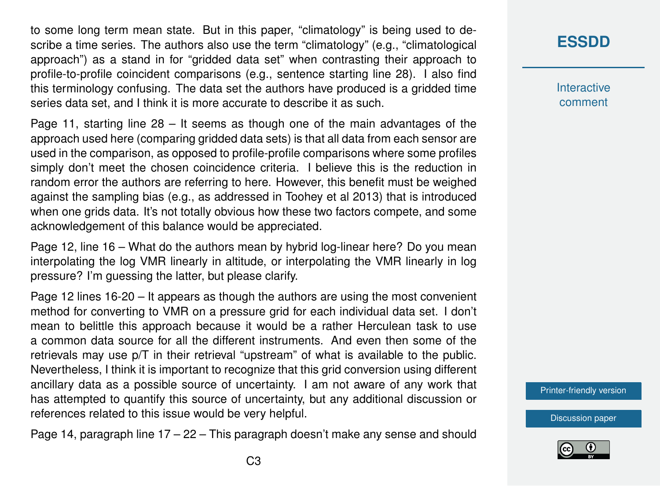to some long term mean state. But in this paper, "climatology" is being used to describe a time series. The authors also use the term "climatology" (e.g., "climatological approach") as a stand in for "gridded data set" when contrasting their approach to profile-to-profile coincident comparisons (e.g., sentence starting line 28). I also find this terminology confusing. The data set the authors have produced is a gridded time series data set, and I think it is more accurate to describe it as such.

Page 11, starting line  $28 -$  It seems as though one of the main advantages of the approach used here (comparing gridded data sets) is that all data from each sensor are used in the comparison, as opposed to profile-profile comparisons where some profiles simply don't meet the chosen coincidence criteria. I believe this is the reduction in random error the authors are referring to here. However, this benefit must be weighed against the sampling bias (e.g., as addressed in Toohey et al 2013) that is introduced when one grids data. It's not totally obvious how these two factors compete, and some acknowledgement of this balance would be appreciated.

Page 12, line 16 – What do the authors mean by hybrid log-linear here? Do you mean interpolating the log VMR linearly in altitude, or interpolating the VMR linearly in log pressure? I'm guessing the latter, but please clarify.

Page 12 lines 16-20 – It appears as though the authors are using the most convenient method for converting to VMR on a pressure grid for each individual data set. I don't mean to belittle this approach because it would be a rather Herculean task to use a common data source for all the different instruments. And even then some of the retrievals may use p/T in their retrieval "upstream" of what is available to the public. Nevertheless, I think it is important to recognize that this grid conversion using different ancillary data as a possible source of uncertainty. I am not aware of any work that has attempted to quantify this source of uncertainty, but any additional discussion or references related to this issue would be very helpful.

Page 14, paragraph line 17 – 22 – This paragraph doesn't make any sense and should

## **[ESSDD](https://essd.copernicus.org/preprints/)**

**Interactive** comment

[Printer-friendly version](https://essd.copernicus.org/preprints/essd-2020-342/essd-2020-342-RC1-print.pdf)

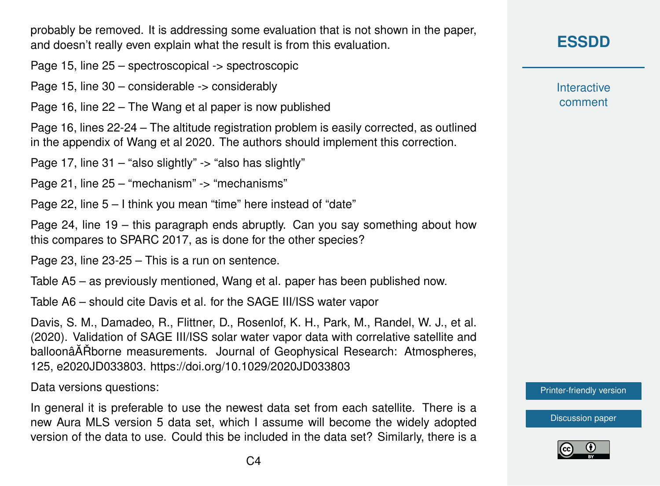probably be removed. It is addressing some evaluation that is not shown in the paper, and doesn't really even explain what the result is from this evaluation.

Page 15, line 25 – spectroscopical -> spectroscopic

Page 15, line 30 – considerable -> considerably

Page 16, line 22 – The Wang et al paper is now published

Page 16, lines 22-24 – The altitude registration problem is easily corrected, as outlined in the appendix of Wang et al 2020. The authors should implement this correction.

Page 17, line 31 – "also slightly" -> "also has slightly"

Page 21, line 25 – "mechanism" -> "mechanisms"

Page 22, line 5 – I think you mean "time" here instead of "date"

Page 24, line 19 – this paragraph ends abruptly. Can you say something about how this compares to SPARC 2017, as is done for the other species?

Page 23, line 23-25 – This is a run on sentence.

Table A5 – as previously mentioned, Wang et al. paper has been published now.

Table A6 – should cite Davis et al. for the SAGE III/ISS water vapor

Davis, S. M., Damadeo, R., Flittner, D., Rosenlof, K. H., Park, M., Randel, W. J., et al. (2020). Validation of SAGE III/ISS solar water vapor data with correlative satellite and balloonâ $\tilde{A}$  Rhorne measurements. Journal of Geophysical Research: Atmospheres, 125, e2020JD033803. https://doi.org/10.1029/2020JD033803

Data versions questions:

In general it is preferable to use the newest data set from each satellite. There is a new Aura MLS version 5 data set, which I assume will become the widely adopted version of the data to use. Could this be included in the data set? Similarly, there is a **Interactive** comment

[Printer-friendly version](https://essd.copernicus.org/preprints/essd-2020-342/essd-2020-342-RC1-print.pdf)